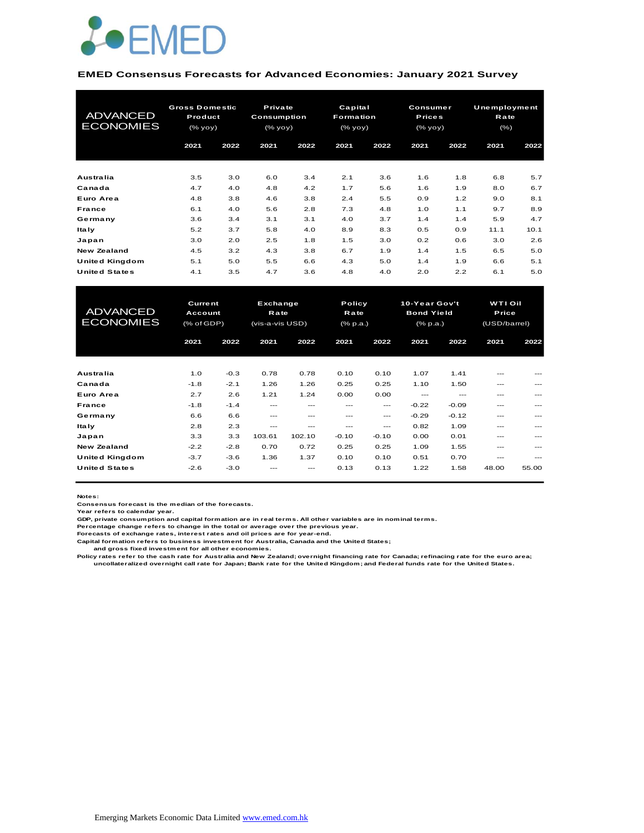

#### **EMED Consensus Forecasts for Advanced Economies: January 2021 Survey**

| <b>ADVANCED</b><br><b>ECONOMIES</b> | <b>Gross Domestic</b><br>Product<br>$(\%$ yoy $)$ |      | Private<br>Consumption<br>(% |      | Capital<br><b>Formation</b><br>(% yoy) |      | <b>Consumer</b><br><b>Prices</b><br>(% yoy) |      | Unemployment<br>Rate<br>$(\% )$ |      |
|-------------------------------------|---------------------------------------------------|------|------------------------------|------|----------------------------------------|------|---------------------------------------------|------|---------------------------------|------|
|                                     | 2021                                              | 2022 | 2021                         | 2022 | 2021                                   | 2022 | 2021                                        | 2022 | 2021                            | 2022 |
| Australia                           | 3.5                                               | 3.0  | 6.0                          | 3.4  | 2.1                                    | 3.6  | 1.6                                         | 1.8  | 6.8                             | 5.7  |
| Canada                              | 4.7                                               | 4.0  | 4.8                          | 4.2  | 1.7                                    | 5.6  | 1.6                                         | 1.9  | 8.0                             | 6.7  |
| Euro Area                           | 4.8                                               | 3.8  | 4.6                          | 3.8  | 2.4                                    | 5.5  | 0.9                                         | 1.2  | 9.0                             | 8.1  |
| <b>France</b>                       | 6.1                                               | 4.0  | 5.6                          | 2.8  | 7.3                                    | 4.8  | 1.0                                         | 1.1  | 9.7                             | 8.9  |
| Germany                             | 3.6                                               | 3.4  | 3.1                          | 3.1  | 4.0                                    | 3.7  | 1.4                                         | 1.4  | 5.9                             | 4.7  |
| ltaly                               | 5.2                                               | 3.7  | 5.8                          | 4.0  | 8.9                                    | 8.3  | 0.5                                         | 0.9  | 11.1                            | 10.1 |
| Japan                               | 3.0                                               | 2.0  | 2.5                          | 1.8  | 1.5                                    | 3.0  | 0.2                                         | 0.6  | 3.0                             | 2.6  |
| New Zealand                         | 4.5                                               | 3.2  | 4.3                          | 3.8  | 6.7                                    | 1.9  | 1.4                                         | 1.5  | 6.5                             | 5.0  |
| United Kingdom                      | 5.1                                               | 5.0  | 5.5                          | 6.6  | 4.3                                    | 5.0  | 1.4                                         | 1.9  | 6.6                             | 5.1  |
| <b>United States</b>                | 4.1                                               | 3.5  | 4.7                          | 3.6  | 4.8                                    | 4.0  | 2.0                                         | 2.2  | 6.1                             | 5.0  |

| United Kingdom                      | 5.1                                            | 5.0    | 5.5                                        | 6.6     | 4.3                        | 5.0     | 1.4                                            | 1.9     | 6.6                                     | 5.1   |
|-------------------------------------|------------------------------------------------|--------|--------------------------------------------|---------|----------------------------|---------|------------------------------------------------|---------|-----------------------------------------|-------|
| <b>United States</b>                | 4.1                                            | 3.5    | 4.7                                        | 3.6     | 4.8                        | 4.0     | 2.0                                            | 2.2     | 6.1                                     | 5.0   |
|                                     |                                                |        |                                            |         |                            |         |                                                |         |                                         |       |
| <b>ADVANCED</b><br><b>ECONOMIES</b> | <b>Current</b><br>Account<br>$(%$ $(*$ of GDP) |        | Exchange<br><b>Rate</b><br>(vis-a-vis USD) |         | Policy<br>Rate<br>(% p.a.) |         | 10-Year Gov't<br><b>Bond Yield</b><br>(% p.a.) |         | <b>WTI Oil</b><br>Price<br>(USD/barrel) |       |
|                                     | 2021                                           | 2022   | 2021                                       | 2022    | 2021                       | 2022    | 2021                                           | 2022    | 2021                                    | 2022  |
|                                     |                                                |        |                                            |         |                            |         |                                                |         |                                         |       |
| Australia                           | 1.0                                            | $-0.3$ | 0.78                                       | 0.78    | 0.10                       | 0.10    | 1.07                                           | 1.41    |                                         |       |
| Canada                              | $-1.8$                                         | $-2.1$ | 1.26                                       | 1.26    | 0.25                       | 0.25    | 1.10                                           | 1.50    | ---                                     |       |
| Euro Area                           | 2.7                                            | 2.6    | 1.21                                       | 1.24    | 0.00                       | 0.00    | $---$                                          | $---$   | ---                                     | ---   |
| <b>France</b>                       | $-1.8$                                         | $-1.4$ | $---$                                      | ---     | ---                        | $---$   | $-0.22$                                        | $-0.09$ | ---                                     |       |
| Germany                             | 6.6                                            | 6.6    | $---$                                      | $- - -$ | $- - -$                    | ---     | $-0.29$                                        | $-0.12$ | ---                                     | ---   |
| <b>Italy</b>                        | 2.8                                            | 2.3    | $- - -$                                    | ---     | ---                        | ---     | 0.82                                           | 1.09    | ---                                     |       |
| Japan                               | 3.3                                            | 3.3    | 103.61                                     | 102.10  | $-0.10$                    | $-0.10$ | 0.00                                           | 0.01    | ---                                     | ---   |
| <b>New Zealand</b>                  | $-2.2$                                         | $-2.8$ | 0.70                                       | 0.72    | 0.25                       | 0.25    | 1.09                                           | 1.55    | ---                                     |       |
| United Kingdom                      | $-3.7$                                         | $-3.6$ | 1.36                                       | 1.37    | 0.10                       | 0.10    | 0.51                                           | 0.70    | ---                                     | ---   |
| <b>United States</b>                | $-2.6$                                         | $-3.0$ |                                            |         | 0.13                       | 0.13    | 1.22                                           | 1.58    | 48.00                                   | 55.00 |

**Notes:** 

**Consensus forecast is the median of the forecasts. Year refers to calendar year.**

**GDP, private consumption and capital formation are in real terms. All other variables are in nominal terms.**

**Percentage change refers to change in the total or average over the previous year. Forecasts of exchange rates, interest rates and oil prices are for year-end.**

**Capital formation refers to business investment for Australia, Canada and the United States;**

 **and gross fixed investment for all other economies.**

Policy rates refer to the cash rate for Australia and New Zealand; overnight financing rate for Canada; refinacing rate for the euro area;<br>uncollateralized overnight call rate for Japan; Bank rate for the United Kingdom; a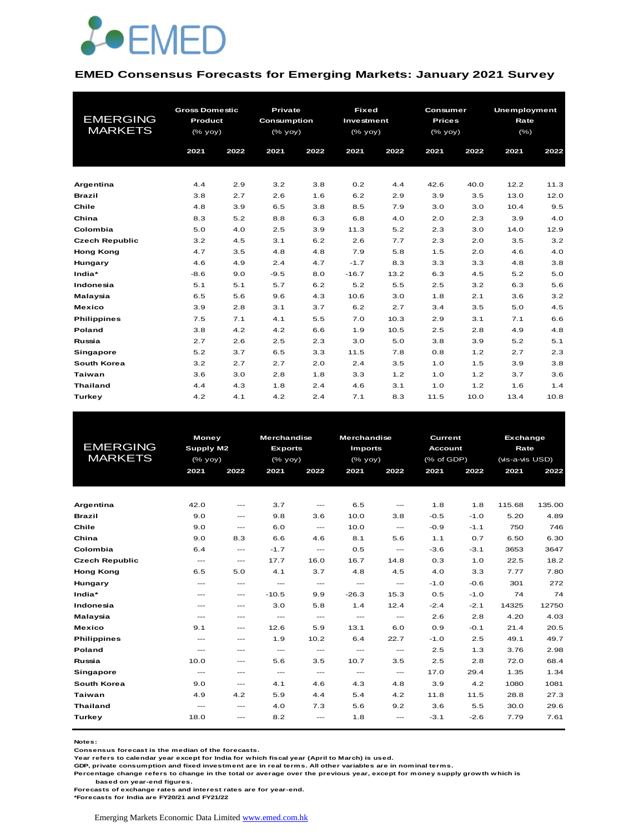

#### **EMED Consensus Forecasts for Emerging Markets: January 2021 Survey**

|                       | <b>Gross Domestic</b> |      | Private     |      |            | <b>Fixed</b><br>Consumer |                                                                                                          |      | <b>Unemployment</b> |      |  |
|-----------------------|-----------------------|------|-------------|------|------------|--------------------------|----------------------------------------------------------------------------------------------------------|------|---------------------|------|--|
| <b>EMERGING</b>       | Product               |      | Consumption |      | Investment |                          | <b>Prices</b>                                                                                            |      | Rate                |      |  |
| <b>MARKETS</b>        | (% yoy)               |      | (% yoy)     |      | (% yoy)    |                          | $(%$ $\sqrt{)$ $\sqrt{)$ $\sqrt{)$ $\sqrt{)$ $\sqrt{)$ $\sqrt{)$ $\sqrt{)$ $\sqrt{)$ $\sqrt{) \sqrt{}}}$ |      | $(\% )$             |      |  |
|                       | 2021                  | 2022 | 2021        | 2022 | 2021       | 2022                     | 2021                                                                                                     | 2022 | 2021                | 2022 |  |
|                       |                       |      |             |      |            |                          |                                                                                                          |      |                     |      |  |
| Argentina             | 4.4                   | 2.9  | 3.2         | 3.8  | 0.2        | 4.4                      | 42.6                                                                                                     | 40.0 | 12.2                | 11.3 |  |
| <b>Brazil</b>         | 3.8                   | 2.7  | 2.6         | 1.6  | 6.2        | 2.9                      | 3.9                                                                                                      | 3.5  | 13.0                | 12.0 |  |
| Chile                 | 4.8                   | 3.9  | 6.5         | 3.8  | 8.5        | 7.9                      | 3.0                                                                                                      | 3.0  | 10.4                | 9.5  |  |
| China                 | 8.3                   | 5.2  | 8.8         | 6.3  | 6.8        | 4.0                      | 2.0                                                                                                      | 2.3  | 3.9                 | 4.0  |  |
| Colombia              | 5.0                   | 4.0  | 2.5         | 3.9  | 11.3       | 5.2                      | 2.3                                                                                                      | 3.0  | 14.0                | 12.9 |  |
| <b>Czech Republic</b> | 3.2                   | 4.5  | 3.1         | 6.2  | 2.6        | 7.7                      | 2.3                                                                                                      | 2.0  | 3.5                 | 3.2  |  |
| <b>Hong Kong</b>      | 4.7                   | 3.5  | 4.8         | 4.8  | 7.9        | 5.8                      | 1.5                                                                                                      | 2.0  | 4.6                 | 4.0  |  |
| Hungary               | 4.6                   | 4.9  | 2.4         | 4.7  | $-1.7$     | 8.3                      | 3.3                                                                                                      | 3.3  | 4.8                 | 3.8  |  |
| India*                | $-8.6$                | 9.0  | $-9.5$      | 8.0  | $-16.7$    | 13.2                     | 6.3                                                                                                      | 4.5  | 5.2                 | 5.0  |  |
| Indonesia             | 5.1                   | 5.1  | 5.7         | 6.2  | 5.2        | 5.5                      | 2.5                                                                                                      | 3.2  | 6.3                 | 5.6  |  |
| <b>Malaysia</b>       | 6.5                   | 5.6  | 9.6         | 4.3  | 10.6       | 3.0                      | 1.8                                                                                                      | 2.1  | 3.6                 | 3.2  |  |
| <b>Mexico</b>         | 3.9                   | 2.8  | 3.1         | 3.7  | 6.2        | 2.7                      | 3.4                                                                                                      | 3.5  | 5.0                 | 4.5  |  |
| <b>Philippines</b>    | 7.5                   | 7.1  | 4.1         | 5.5  | 7.0        | 10.3                     | 2.9                                                                                                      | 3.1  | 7.1                 | 6.6  |  |
| Poland                | 3.8                   | 4.2  | 4.2         | 6.6  | 1.9        | 10.5                     | 2.5                                                                                                      | 2.8  | 4.9                 | 4.8  |  |
| Russia                | 2.7                   | 2.6  | 2.5         | 2.3  | 3.0        | 5.0                      | 3.8                                                                                                      | 3.9  | 5.2                 | 5.1  |  |
| Singapore             | 5.2                   | 3.7  | 6.5         | 3.3  | 11.5       | 7.8                      | 0.8                                                                                                      | 1.2  | 2.7                 | 2.3  |  |
| South Korea           | 3.2                   | 2.7  | 2.7         | 2.0  | 2.4        | 3.5                      | 1.0                                                                                                      | 1.5  | 3.9                 | 3.8  |  |
| <b>Taiwan</b>         | 3.6                   | 3.0  | 2.8         | 1.8  | 3.3        | 1.2                      | 1.0                                                                                                      | 1.2  | 3.7                 | 3.6  |  |
| <b>Thailand</b>       | 4.4                   | 4.3  | 1.8         | 2.4  | 4.6        | 3.1                      | 1.0                                                                                                      | 1.2  | 1.6                 | 1.4  |  |
| Turkey                | 4.2                   | 4.1  | 4.2         | 2.4  | 7.1        | 8.3                      | 11.5                                                                                                     | 10.0 | 13.4                | 10.8 |  |

|                       |                  | <b>Money</b>                             |                                                                    | <b>Merchandise</b> | <b>Merchandise</b>                  |                                     | Current        |        | <b>Exchange</b> |        |
|-----------------------|------------------|------------------------------------------|--------------------------------------------------------------------|--------------------|-------------------------------------|-------------------------------------|----------------|--------|-----------------|--------|
| <b>EMERGING</b>       | <b>Supply M2</b> |                                          | <b>Exports</b>                                                     |                    | <b>Imports</b>                      |                                     | <b>Account</b> |        | Rate            |        |
| <b>MARKETS</b>        | (% yoy)          |                                          | $(% \mathsf{Y}^{\prime }\mathsf{Y}^{\prime }\mathsf{Y}^{\prime })$ |                    | $(%$ (% yoy)                        |                                     | (% of GDP)     |        | (vis-a-vis USD) |        |
|                       | 2021             | 2022                                     | 2021                                                               | 2022               | 2021                                | 2022                                | 2021           | 2022   | 2021            | 2022   |
|                       |                  |                                          |                                                                    |                    |                                     |                                     |                |        |                 |        |
|                       |                  |                                          |                                                                    |                    |                                     |                                     |                |        |                 |        |
| Argentina             | 42.0             | $---$                                    | 3.7                                                                | $\cdots$           | 6.5                                 | $---$                               | 1.8            | 1.8    | 115.68          | 135.00 |
| <b>Brazil</b>         | 9.0              | $\qquad \qquad \cdots$                   | 9.8                                                                | 3.6                | 10.0                                | 3.8                                 | $-0.5$         | $-1.0$ | 5.20            | 4.89   |
| Chile                 | 9.0              | $---$                                    | 6.0                                                                | $\frac{1}{2}$      | 10.0                                | $\frac{1}{2}$                       | $-0.9$         | $-1.1$ | 750             | 746    |
| China                 | 9.0              | 8.3                                      | 6.6                                                                | 4.6                | 8.1                                 | 5.6                                 | 1.1            | 0.7    | 6.50            | 6.30   |
| Colombia              | 6.4              | ---                                      | $-1.7$                                                             | $\cdots$           | 0.5                                 | $\hspace{0.05cm}---\hspace{0.05cm}$ | $-3.6$         | $-3.1$ | 3653            | 3647   |
| <b>Czech Republic</b> | $\cdots$         | $\hspace{0.05cm} \ldots \hspace{0.05cm}$ | 17.7                                                               | 16.0               | 16.7                                | 14.8                                | 0.3            | 1.0    | 22.5            | 18.2   |
| <b>Hong Kong</b>      | 6.5              | 5.0                                      | 4.1                                                                | 3.7                | 4.8                                 | 4.5                                 | 4.0            | 3.3    | 7.77            | 7.80   |
| Hungary               | $---$            | $\sim$ $\sim$                            | $---$                                                              | $\frac{1}{2}$      | $\frac{1}{2}$                       | $\frac{1}{2}$                       | $-1.0$         | $-0.6$ | 301             | 272    |
| India*                | $---$            | $\hspace{0.05cm} \ldots$                 | $-10.5$                                                            | 9.9                | $-26.3$                             | 15.3                                | 0.5            | $-1.0$ | 74              | 74     |
| Indonesia             | $---$            | $---$                                    | 3.0                                                                | 5.8                | 1.4                                 | 12.4                                | $-2.4$         | $-2.1$ | 14325           | 12750  |
| Malaysia              | $---$            | ---                                      | $---$                                                              | $\cdots$           | $\hspace{0.05cm}---\hspace{0.05cm}$ | ---                                 | 2.6            | 2.8    | 4.20            | 4.03   |
| <b>Mexico</b>         | 9.1              | ---                                      | 12.6                                                               | 5.9                | 13.1                                | 6.0                                 | 0.9            | $-0.1$ | 21.4            | 20.5   |
| <b>Philippines</b>    | $---$            | $---$                                    | 1.9                                                                | 10.2               | 6.4                                 | 22.7                                | $-1.0$         | 2.5    | 49.1            | 49.7   |
| <b>Poland</b>         | $\frac{1}{2}$    | ---                                      | $\overline{a}$                                                     | $\frac{1}{2}$      | $---$                               | $\frac{1}{2}$                       | 2.5            | 1.3    | 3.76            | 2.98   |
| Russia                | 10.0             | ---                                      | 5.6                                                                | 3.5                | 10.7                                | 3.5                                 | 2.5            | 2.8    | 72.0            | 68.4   |
| Singapore             | $\frac{1}{2}$    | ---                                      | $\cdots$                                                           | $\cdots$           | $---$                               | $\hspace{0.05cm}---\hspace{0.05cm}$ | 17.0           | 29.4   | 1.35            | 1.34   |
| South Korea           | 9.0              | $\hspace{0.05cm} \ldots$                 | 4.1                                                                | 4.6                | 4.3                                 | 4.8                                 | 3.9            | 4.2    | 1080            | 1081   |
| Taiwan                | 4.9              | 4.2                                      | 5.9                                                                | 4.4                | 5.4                                 | 4.2                                 | 11.8           | 11.5   | 28.8            | 27.3   |
| <b>Thailand</b>       | $---$            | ---                                      | 4.0                                                                | 7.3                | 5.6                                 | 9.2                                 | 3.6            | 5.5    | 30.0            | 29.6   |
| Turkey                | 18.0             | ---                                      | 8.2                                                                | $---$              | 1.8                                 | ---                                 | $-3.1$         | $-2.6$ | 7.79            | 7.61   |
|                       |                  |                                          |                                                                    |                    |                                     |                                     |                |        |                 |        |

**Notes:** 

**Consensus forecast is the median of the forecasts.**

**Year refers to calendar year except for India for which fiscal year (April to March) is used.**

**GDP, private consumption and fixed investment are in real terms. All other variables are in nominal terms.**

**Percentage change refers to change in the total or average over the previous year, except for money supply growth which is** 

 **based on year-end figures.**

**Forecasts of exchange rates and interest rates are for year-end.**

**\*Forecasts for India are FY20/21 and FY21/22**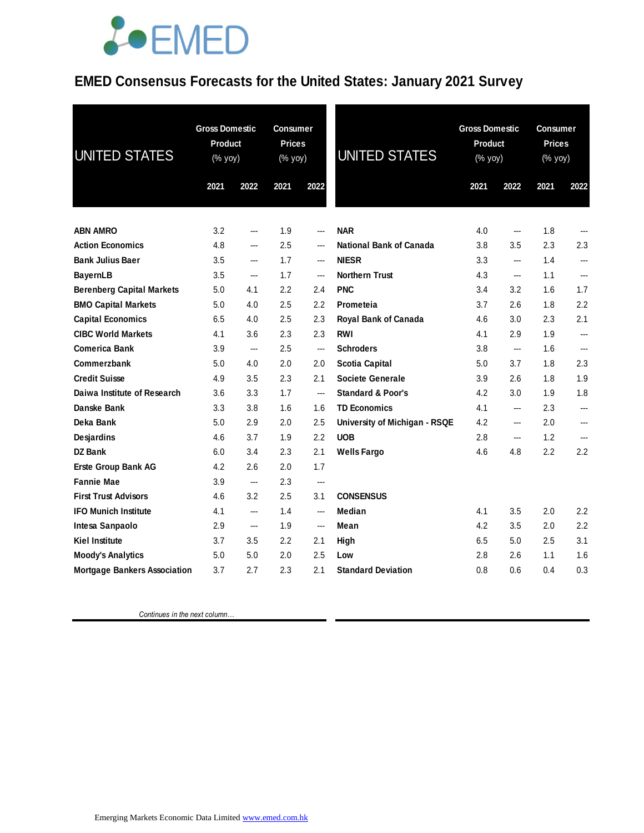## **JOEMED**

#### **EMED Consensus Forecasts for the United States: January 2021 Survey**

| <b>UNITED STATES</b>                | <b>Gross Domestic</b><br>Product<br>(% yoy) |      | <b>Consumer</b><br><b>Prices</b><br>(% yoy) |      | UNITED STATES                  |      | <b>Gross Domestic</b><br><b>Product</b><br>(% yoy) |      | <b>Consumer</b><br><b>Prices</b><br>(% yoy) |  |
|-------------------------------------|---------------------------------------------|------|---------------------------------------------|------|--------------------------------|------|----------------------------------------------------|------|---------------------------------------------|--|
|                                     | 2021                                        | 2022 | 2021                                        | 2022 |                                | 2021 | 2022                                               | 2021 | 2022                                        |  |
| <b>ABN AMRO</b>                     | 3.2                                         | ---  | 1.9                                         | ---  | <b>NAR</b>                     | 4.0  | ---                                                | 1.8  |                                             |  |
| <b>Action Economics</b>             | 4.8                                         | ---  | 2.5                                         | ---  | <b>National Bank of Canada</b> | 3.8  | 3.5                                                | 2.3  | 2.3                                         |  |
| <b>Bank Julius Baer</b>             | 3.5                                         | ---  | 1.7                                         | ---  | <b>NIESR</b>                   | 3.3  | ---                                                | 1.4  | ---                                         |  |
| <b>BayernLB</b>                     | 3.5                                         | ---  | 1.7                                         | ---  | <b>Northern Trust</b>          | 4.3  | ---                                                | 1.1  |                                             |  |
| <b>Berenberg Capital Markets</b>    | 5.0                                         | 4.1  | $2.2\phantom{0}$                            | 2.4  | <b>PNC</b>                     | 3.4  | 3.2                                                | 1.6  | 1.7                                         |  |
| <b>BMO Capital Markets</b>          | 5.0                                         | 4.0  | 2.5                                         | 2.2  | Prometeia                      | 3.7  | 2.6                                                | 1.8  | 2.2                                         |  |
| <b>Capital Economics</b>            | 6.5                                         | 4.0  | 2.5                                         | 2.3  | Royal Bank of Canada           | 4.6  | 3.0                                                | 2.3  | 2.1                                         |  |
| <b>CIBC World Markets</b>           | 4.1                                         | 3.6  | 2.3                                         | 2.3  | <b>RWI</b>                     | 4.1  | 2.9                                                | 1.9  | ---                                         |  |
| <b>Comerica Bank</b>                | 3.9                                         | ---  | 2.5                                         | ---  | <b>Schroders</b>               | 3.8  | ---                                                | 1.6  | ---                                         |  |
| Commerzbank                         | 5.0                                         | 4.0  | 2.0                                         | 2.0  | <b>Scotia Capital</b>          | 5.0  | 3.7                                                | 1.8  | 2.3                                         |  |
| <b>Credit Suisse</b>                | 4.9                                         | 3.5  | 2.3                                         | 2.1  | <b>Societe Generale</b>        | 3.9  | 2.6                                                | 1.8  | 1.9                                         |  |
| Daiwa Institute of Research         | 3.6                                         | 3.3  | 1.7                                         | ---  | <b>Standard &amp; Poor's</b>   | 4.2  | 3.0                                                | 1.9  | 1.8                                         |  |
| Danske Bank                         | 3.3                                         | 3.8  | 1.6                                         | 1.6  | <b>TD Economics</b>            | 4.1  | ---                                                | 2.3  |                                             |  |
| Deka Bank                           | 5.0                                         | 2.9  | 2.0                                         | 2.5  | University of Michigan - RSQE  | 4.2  | ---                                                | 2.0  | ---                                         |  |
| Desjardins                          | 4.6                                         | 3.7  | 1.9                                         | 2.2  | <b>UOB</b>                     | 2.8  | ---                                                | 1.2  | ---                                         |  |
| <b>DZ Bank</b>                      | 6.0                                         | 3.4  | 2.3                                         | 2.1  | <b>Wells Fargo</b>             | 4.6  | 4.8                                                | 2.2  | 2.2                                         |  |
| <b>Erste Group Bank AG</b>          | 4.2                                         | 2.6  | 2.0                                         | 1.7  |                                |      |                                                    |      |                                             |  |
| <b>Fannie Mae</b>                   | 3.9                                         | ---  | 2.3                                         | ---  |                                |      |                                                    |      |                                             |  |
| <b>First Trust Advisors</b>         | 4.6                                         | 3.2  | 2.5                                         | 3.1  | <b>CONSENSUS</b>               |      |                                                    |      |                                             |  |
| <b>IFO Munich Institute</b>         | 4.1                                         | ---  | 1.4                                         | ---  | Median                         | 4.1  | 3.5                                                | 2.0  | 2.2                                         |  |
| Intesa Sanpaolo                     | 2.9                                         | ---  | 1.9                                         | ---  | Mean                           | 4.2  | 3.5                                                | 2.0  | 2.2                                         |  |
| <b>Kiel Institute</b>               | 3.7                                         | 3.5  | 2.2                                         | 2.1  | High                           | 6.5  | 5.0                                                | 2.5  | 3.1                                         |  |
| <b>Moody's Analytics</b>            | 5.0                                         | 5.0  | 2.0                                         | 2.5  | Low                            | 2.8  | 2.6                                                | 1.1  | 1.6                                         |  |
| <b>Mortgage Bankers Association</b> | 3.7                                         | 2.7  | 2.3                                         | 2.1  | <b>Standard Deviation</b>      | 0.8  | 0.6                                                | 0.4  | 0.3                                         |  |

 *Continues in the next column…*

Emerging Markets Economic Data Limited www.emed.com.hk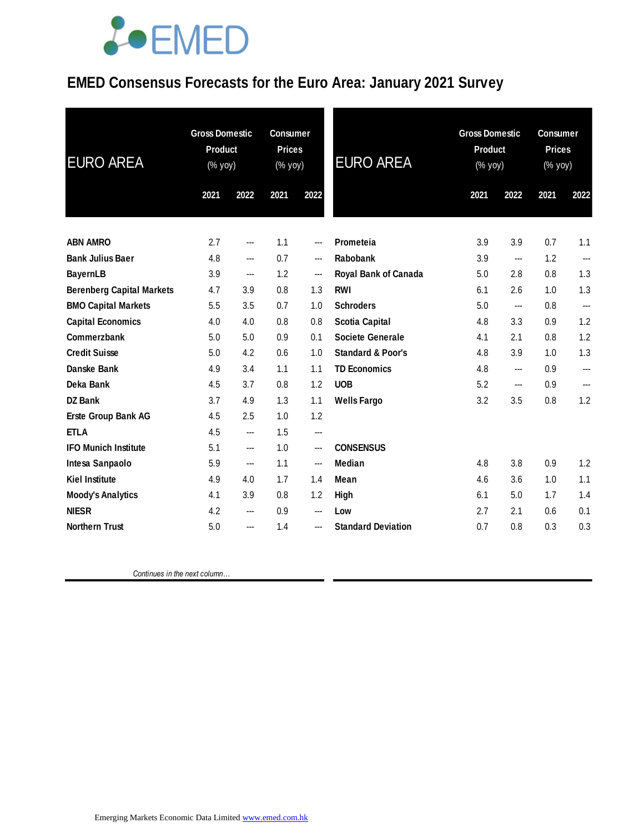## *<u>LOEMED</u>*

#### **EMED Consensus Forecasts for the Euro Area: January 2021 Survey**

| <b>EURO AREA</b>                 | <b>Gross Domestic</b><br><b>Product</b><br>(% yoy) |      | <b>Consumer</b><br><b>Prices</b><br>(% yoy) |      | <b>EURO AREA</b>             | <b>Gross Domestic</b><br><b>Product</b><br>(% yoy) |                   | <b>Consumer</b><br><b>Prices</b><br>(% yoy) |                          |
|----------------------------------|----------------------------------------------------|------|---------------------------------------------|------|------------------------------|----------------------------------------------------|-------------------|---------------------------------------------|--------------------------|
|                                  | 2021                                               | 2022 | 2021                                        | 2022 |                              | 2021                                               | 2022              | 2021                                        | 2022                     |
| <b>ABN AMRO</b>                  | 2.7                                                | ---  | 1.1                                         | ---  | Prometeia                    | 3.9                                                | 3.9               | 0.7                                         | 1.1                      |
| <b>Bank Julius Baer</b>          | 4.8                                                | ---  | 0.7                                         | ---  | Rabobank                     | 3.9                                                | ---               | 1.2                                         | $\overline{\phantom{a}}$ |
| <b>BayernLB</b>                  | 3.9                                                | ---  | 1.2                                         | ---  | <b>Royal Bank of Canada</b>  | 5.0                                                | 2.8               | 0.8                                         | 1.3                      |
| <b>Berenberg Capital Markets</b> | 4.7                                                | 3.9  | 0.8                                         | 1.3  | <b>RWI</b>                   | 6.1                                                | 2.6               | 1.0                                         | 1.3                      |
| <b>BMO Capital Markets</b>       | 5.5                                                | 3.5  | 0.7                                         | 1.0  | <b>Schroders</b>             | 5.0                                                | ---               | 0.8                                         | $\cdots$                 |
| <b>Capital Economics</b>         | 4.0                                                | 4.0  | 0.8                                         | 0.8  | <b>Scotia Capital</b>        | 4.8                                                | 3.3               | 0.9                                         | 1.2                      |
| Commerzbank                      | 5.0                                                | 5.0  | 0.9                                         | 0.1  | <b>Societe Generale</b>      | 4.1                                                | 2.1               | 0.8                                         | 1.2                      |
| <b>Credit Suisse</b>             | 5.0                                                | 4.2  | 0.6                                         | 1.0  | <b>Standard &amp; Poor's</b> | 4.8                                                | 3.9               | 1.0                                         | 1.3                      |
| Danske Bank                      | 4.9                                                | 3.4  | 1.1                                         | 1.1  | <b>TD Economics</b>          | 4.8                                                | ---               | 0.9                                         |                          |
| Deka Bank                        | 4.5                                                | 3.7  | 0.8                                         | 1.2  | <b>UOB</b>                   | 5.2                                                | $\hspace{0.05cm}$ | 0.9                                         | ---                      |
| DZ Bank                          | 3.7                                                | 4.9  | 1.3                                         | 1.1  | <b>Wells Fargo</b>           | 3.2                                                | 3.5               | 0.8                                         | 1.2                      |
| Erste Group Bank AG              | 4.5                                                | 2.5  | 1.0                                         | 1.2  |                              |                                                    |                   |                                             |                          |
| <b>ETLA</b>                      | 4.5                                                | ---  | 1.5                                         | ---  |                              |                                                    |                   |                                             |                          |
| <b>IFO Munich Institute</b>      | 5.1                                                | ---  | 1.0                                         | ---  | <b>CONSENSUS</b>             |                                                    |                   |                                             |                          |
| Intesa Sanpaolo                  | 5.9                                                | ---  | 1.1                                         | ---  | Median                       | 4.8                                                | 3.8               | 0.9                                         | 1.2                      |
| <b>Kiel Institute</b>            | 4.9                                                | 4.0  | 1.7                                         | 1.4  | Mean                         | 4.6                                                | 3.6               | 1.0                                         | 1.1                      |
| <b>Moody's Analytics</b>         | 4.1                                                | 3.9  | 0.8                                         | 1.2  | High                         | 6.1                                                | 5.0               | 1.7                                         | 1.4                      |
| <b>NIESR</b>                     | 4.2                                                | ---  | 0.9                                         | ---  | Low                          | 2.7                                                | 2.1               | 0.6                                         | 0.1                      |
| <b>Northern Trust</b>            | 5.0                                                | ---  | 1.4                                         | ---  | <b>Standard Deviation</b>    | 0.7                                                | 0.8               | 0.3                                         | 0.3                      |

 *Continues in the next column…*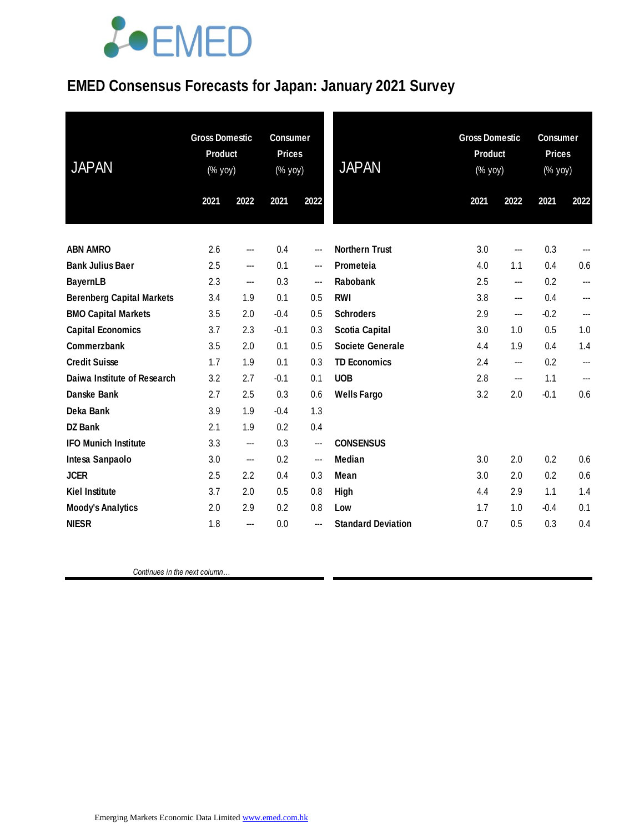# LOEMED

### **EMED Consensus Forecasts for Japan: January 2021 Survey**

| <b>JAPAN</b>                     | <b>Gross Domestic</b><br><b>Product</b><br>(% yoy) |                        | <b>Consumer</b><br><b>Prices</b><br>(% yoy) |                          | <b>JAPAN</b>              | <b>Gross Domestic</b><br><b>Product</b><br>(% yoy) | <b>Consumer</b><br><b>Prices</b><br>(% yoy) |        |      |
|----------------------------------|----------------------------------------------------|------------------------|---------------------------------------------|--------------------------|---------------------------|----------------------------------------------------|---------------------------------------------|--------|------|
|                                  | 2021                                               | 2022                   | 2021                                        | 2022                     |                           | 2021                                               | 2022                                        | 2021   | 2022 |
| <b>ABN AMRO</b>                  | 2.6                                                | ---                    | 0.4                                         | $\qquad \qquad \cdots$   | <b>Northern Trust</b>     | 3.0                                                | ---                                         | 0.3    | ---  |
| <b>Bank Julius Baer</b>          | 2.5                                                | ---                    | 0.1                                         | $\hspace{0.05cm} \ldots$ | Prometeia                 | 4.0                                                | 1.1                                         | 0.4    | 0.6  |
| <b>BayernLB</b>                  | 2.3                                                | $\qquad \qquad \cdots$ | 0.3                                         | $\qquad \qquad \cdots$   | Rabobank                  | 2.5                                                | ---                                         | 0.2    | ---  |
| <b>Berenberg Capital Markets</b> | 3.4                                                | 1.9                    | 0.1                                         | 0.5                      | <b>RWI</b>                | 3.8                                                | ---                                         | 0.4    | ---  |
| <b>BMO Capital Markets</b>       | 3.5                                                | 2.0                    | $-0.4$                                      | 0.5                      | <b>Schroders</b>          | 2.9                                                | ---                                         | $-0.2$ | ---  |
| <b>Capital Economics</b>         | 3.7                                                | 2.3                    | $-0.1$                                      | 0.3                      | <b>Scotia Capital</b>     | 3.0                                                | 1.0                                         | 0.5    | 1.0  |
| Commerzbank                      | 3.5                                                | 2.0                    | 0.1                                         | 0.5                      | <b>Societe Generale</b>   | 4.4                                                | 1.9                                         | 0.4    | 1.4  |
| <b>Credit Suisse</b>             | 1.7                                                | 1.9                    | 0.1                                         | 0.3                      | <b>TD Economics</b>       | 2.4                                                | ---                                         | 0.2    | ---  |
| Daiwa Institute of Research      | 3.2                                                | 2.7                    | $-0.1$                                      | 0.1                      | <b>UOB</b>                | 2.8                                                | ---                                         | 1.1    | ---  |
| Danske Bank                      | 2.7                                                | 2.5                    | 0.3                                         | 0.6                      | <b>Wells Fargo</b>        | 3.2                                                | 2.0                                         | $-0.1$ | 0.6  |
| Deka Bank                        | 3.9                                                | 1.9                    | $-0.4$                                      | 1.3                      |                           |                                                    |                                             |        |      |
| <b>DZ Bank</b>                   | 2.1                                                | 1.9                    | 0.2                                         | 0.4                      |                           |                                                    |                                             |        |      |
| <b>IFO Munich Institute</b>      | 3.3                                                | ---                    | 0.3                                         | $---$                    | <b>CONSENSUS</b>          |                                                    |                                             |        |      |
| Intesa Sanpaolo                  | 3.0                                                | ---                    | 0.2                                         | $---$                    | Median                    | 3.0                                                | 2.0                                         | 0.2    | 0.6  |
| <b>JCER</b>                      | 2.5                                                | 2.2                    | 0.4                                         | 0.3                      | Mean                      | 3.0                                                | 2.0                                         | 0.2    | 0.6  |
| <b>Kiel Institute</b>            | 3.7                                                | 2.0                    | 0.5                                         | 0.8                      | <b>High</b>               | 4.4                                                | 2.9                                         | 1.1    | 1.4  |
| <b>Moody's Analytics</b>         | 2.0                                                | 2.9                    | 0.2                                         | 0.8                      | Low                       | 1.7                                                | 1.0                                         | $-0.4$ | 0.1  |
| <b>NIESR</b>                     | 1.8                                                | ---                    | 0.0                                         | $\qquad \qquad \cdots$   | <b>Standard Deviation</b> | 0.7                                                | 0.5                                         | 0.3    | 0.4  |

 *Continues in the next column…*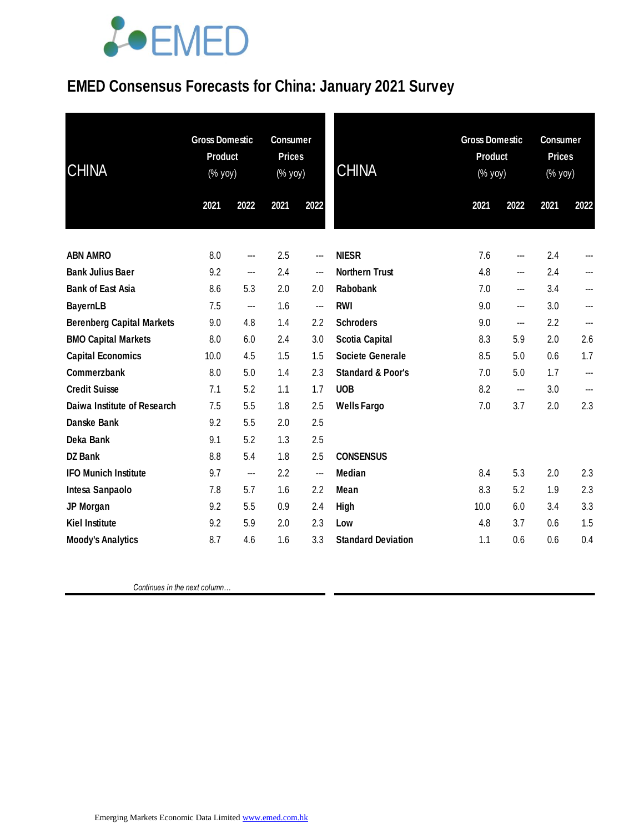# **JOEMED**

### **EMED Consensus Forecasts for China: January 2021 Survey**

| <b>CHINA</b>                     | <b>Gross Domestic</b><br><b>Product</b><br>$(\%$ yoy) |      | <b>Consumer</b><br><b>Prices</b><br>(% yoy) |      | <b>CHINA</b>                 |      | <b>Gross Domestic</b><br><b>Product</b><br>$(% \mathsf{Y}^{\prime }\mathsf{Y}^{\prime }\mathsf{Y}^{\prime })$ |      | <b>Consumer</b><br><b>Prices</b><br>(% yoy) |  |
|----------------------------------|-------------------------------------------------------|------|---------------------------------------------|------|------------------------------|------|---------------------------------------------------------------------------------------------------------------|------|---------------------------------------------|--|
|                                  | 2021                                                  | 2022 | 2021                                        | 2022 |                              | 2021 | 2022                                                                                                          | 2021 | 2022                                        |  |
| <b>ABN AMRO</b>                  | 8.0                                                   | ---  | 2.5                                         | ---  | <b>NIESR</b>                 | 7.6  | ---                                                                                                           | 2.4  |                                             |  |
| <b>Bank Julius Baer</b>          | 9.2                                                   | ---  | 2.4                                         | ---  | <b>Northern Trust</b>        | 4.8  | ---                                                                                                           | 2.4  |                                             |  |
| <b>Bank of East Asia</b>         | 8.6                                                   | 5.3  | 2.0                                         | 2.0  | Rabobank                     | 7.0  | ---                                                                                                           | 3.4  |                                             |  |
| <b>BayernLB</b>                  | 7.5                                                   | ---  | 1.6                                         | ---  | <b>RWI</b>                   | 9.0  | ---                                                                                                           | 3.0  |                                             |  |
| <b>Berenberg Capital Markets</b> | 9.0                                                   | 4.8  | 1.4                                         | 2.2  | <b>Schroders</b>             | 9.0  | ---                                                                                                           | 2.2  | ---                                         |  |
| <b>BMO Capital Markets</b>       | 8.0                                                   | 6.0  | 2.4                                         | 3.0  | <b>Scotia Capital</b>        | 8.3  | 5.9                                                                                                           | 2.0  | 2.6                                         |  |
| <b>Capital Economics</b>         | 10.0                                                  | 4.5  | 1.5                                         | 1.5  | <b>Societe Generale</b>      | 8.5  | 5.0                                                                                                           | 0.6  | 1.7                                         |  |
| Commerzbank                      | 8.0                                                   | 5.0  | 1.4                                         | 2.3  | <b>Standard &amp; Poor's</b> | 7.0  | 5.0                                                                                                           | 1.7  | ---                                         |  |
| <b>Credit Suisse</b>             | 7.1                                                   | 5.2  | 1.1                                         | 1.7  | <b>UOB</b>                   | 8.2  | ---                                                                                                           | 3.0  |                                             |  |
| Daiwa Institute of Research      | 7.5                                                   | 5.5  | 1.8                                         | 2.5  | <b>Wells Fargo</b>           | 7.0  | 3.7                                                                                                           | 2.0  | 2.3                                         |  |
| <b>Danske Bank</b>               | 9.2                                                   | 5.5  | 2.0                                         | 2.5  |                              |      |                                                                                                               |      |                                             |  |
| Deka Bank                        | 9.1                                                   | 5.2  | 1.3                                         | 2.5  |                              |      |                                                                                                               |      |                                             |  |
| <b>DZ Bank</b>                   | 8.8                                                   | 5.4  | 1.8                                         | 2.5  | <b>CONSENSUS</b>             |      |                                                                                                               |      |                                             |  |
| <b>IFO Munich Institute</b>      | 9.7                                                   | ---  | 2.2                                         | ---  | <b>Median</b>                | 8.4  | 5.3                                                                                                           | 2.0  | 2.3                                         |  |
| Intesa Sanpaolo                  | 7.8                                                   | 5.7  | 1.6                                         | 2.2  | Mean                         | 8.3  | 5.2                                                                                                           | 1.9  | 2.3                                         |  |
| JP Morgan                        | 9.2                                                   | 5.5  | 0.9                                         | 2.4  | High                         | 10.0 | 6.0                                                                                                           | 3.4  | 3.3                                         |  |
| <b>Kiel Institute</b>            | 9.2                                                   | 5.9  | 2.0                                         | 2.3  | Low                          | 4.8  | 3.7                                                                                                           | 0.6  | 1.5                                         |  |
| <b>Moody's Analytics</b>         | 8.7                                                   | 4.6  | 1.6                                         | 3.3  | <b>Standard Deviation</b>    | 1.1  | 0.6                                                                                                           | 0.6  | 0.4                                         |  |

 *Continues in the next column…*